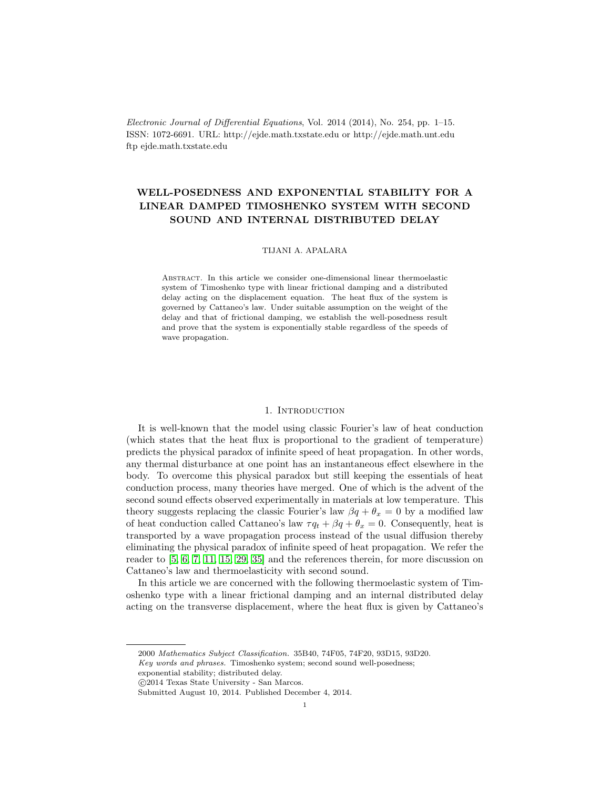Electronic Journal of Differential Equations, Vol. 2014 (2014), No. 254, pp. 1–15. ISSN: 1072-6691. URL: http://ejde.math.txstate.edu or http://ejde.math.unt.edu ftp ejde.math.txstate.edu

# WELL-POSEDNESS AND EXPONENTIAL STABILITY FOR A LINEAR DAMPED TIMOSHENKO SYSTEM WITH SECOND SOUND AND INTERNAL DISTRIBUTED DELAY

### TIJANI A. APALARA

Abstract. In this article we consider one-dimensional linear thermoelastic system of Timoshenko type with linear frictional damping and a distributed delay acting on the displacement equation. The heat flux of the system is governed by Cattaneo's law. Under suitable assumption on the weight of the delay and that of frictional damping, we establish the well-posedness result and prove that the system is exponentially stable regardless of the speeds of wave propagation.

### 1. INTRODUCTION

It is well-known that the model using classic Fourier's law of heat conduction (which states that the heat flux is proportional to the gradient of temperature) predicts the physical paradox of infinite speed of heat propagation. In other words, any thermal disturbance at one point has an instantaneous effect elsewhere in the body. To overcome this physical paradox but still keeping the essentials of heat conduction process, many theories have merged. One of which is the advent of the second sound effects observed experimentally in materials at low temperature. This theory suggests replacing the classic Fourier's law  $\beta q + \theta_x = 0$  by a modified law of heat conduction called Cattaneo's law  $\tau q_t + \beta q + \theta_x = 0$ . Consequently, heat is transported by a wave propagation process instead of the usual diffusion thereby eliminating the physical paradox of infinite speed of heat propagation. We refer the reader to [\[5,](#page-13-0) [6,](#page-13-1) [7,](#page-13-2) [11,](#page-13-3) [15,](#page-13-4) [29,](#page-14-0) [35\]](#page-14-1) and the references therein, for more discussion on Cattaneo's law and thermoelasticity with second sound.

In this article we are concerned with the following thermoelastic system of Timoshenko type with a linear frictional damping and an internal distributed delay acting on the transverse displacement, where the heat flux is given by Cattaneo's

<sup>2000</sup> Mathematics Subject Classification. 35B40, 74F05, 74F20, 93D15, 93D20.

Key words and phrases. Timoshenko system; second sound well-posedness;

exponential stability; distributed delay.

c 2014 Texas State University - San Marcos.

Submitted August 10, 2014. Published December 4, 2014.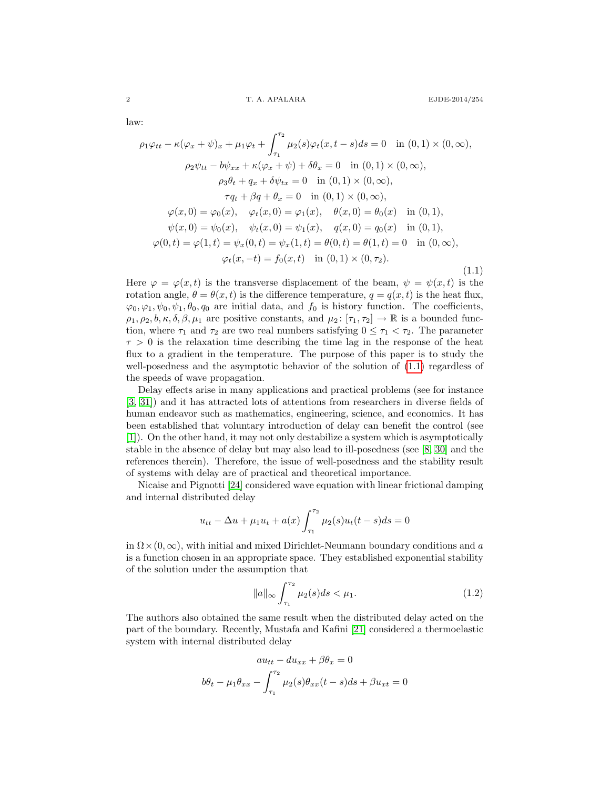law:

<span id="page-1-0"></span>
$$
\rho_1 \varphi_{tt} - \kappa (\varphi_x + \psi)_x + \mu_1 \varphi_t + \int_{\tau_1}^{\tau_2} \mu_2(s) \varphi_t(x, t - s) ds = 0 \text{ in } (0, 1) \times (0, \infty),
$$
  
\n
$$
\rho_2 \psi_{tt} - b\psi_{xx} + \kappa (\varphi_x + \psi) + \delta \theta_x = 0 \text{ in } (0, 1) \times (0, \infty),
$$
  
\n
$$
\rho_3 \theta_t + q_x + \delta \psi_{tx} = 0 \text{ in } (0, 1) \times (0, \infty),
$$
  
\n
$$
\tau q_t + \beta q + \theta_x = 0 \text{ in } (0, 1) \times (0, \infty),
$$
  
\n
$$
\varphi(x, 0) = \varphi_0(x), \quad \varphi_t(x, 0) = \varphi_1(x), \quad \theta(x, 0) = \theta_0(x) \text{ in } (0, 1),
$$
  
\n
$$
\psi(x, 0) = \psi_0(x), \quad \psi_t(x, 0) = \psi_1(x), \quad q(x, 0) = q_0(x) \text{ in } (0, 1),
$$
  
\n
$$
\varphi(0, t) = \varphi(1, t) = \psi_x(0, t) = \psi_x(1, t) = \theta(0, t) = \theta(1, t) = 0 \text{ in } (0, \infty),
$$
  
\n
$$
\varphi_t(x, -t) = f_0(x, t) \text{ in } (0, 1) \times (0, \tau_2).
$$
  
\n(1.1)

Here  $\varphi = \varphi(x, t)$  is the transverse displacement of the beam,  $\psi = \psi(x, t)$  is the rotation angle,  $\theta = \theta(x, t)$  is the difference temperature,  $q = q(x, t)$  is the heat flux,  $\varphi_0, \varphi_1, \psi_0, \psi_1, \theta_0, q_0$  are initial data, and  $f_0$  is history function. The coefficients,  $\rho_1, \rho_2, b, \kappa, \delta, \beta, \mu_1$  are positive constants, and  $\mu_2 : [\tau_1, \tau_2] \to \mathbb{R}$  is a bounded function, where  $\tau_1$  and  $\tau_2$  are two real numbers satisfying  $0 \leq \tau_1 < \tau_2$ . The parameter  $\tau > 0$  is the relaxation time describing the time lag in the response of the heat flux to a gradient in the temperature. The purpose of this paper is to study the well-posedness and the asymptotic behavior of the solution of [\(1.1\)](#page-1-0) regardless of the speeds of wave propagation.

Delay effects arise in many applications and practical problems (see for instance [\[3,](#page-13-5) [31\]](#page-14-2)) and it has attracted lots of attentions from researchers in diverse fields of human endeavor such as mathematics, engineering, science, and economics. It has been established that voluntary introduction of delay can benefit the control (see [\[1\]](#page-13-6)). On the other hand, it may not only destabilize a system which is asymptotically stable in the absence of delay but may also lead to ill-posedness (see [\[8,](#page-13-7) [30\]](#page-14-3) and the references therein). Therefore, the issue of well-posedness and the stability result of systems with delay are of practical and theoretical importance.

Nicaise and Pignotti [\[24\]](#page-13-8) considered wave equation with linear frictional damping and internal distributed delay

$$
u_{tt} - \Delta u + \mu_1 u_t + a(x) \int_{\tau_1}^{\tau_2} \mu_2(s) u_t(t-s) ds = 0
$$

in  $\Omega \times (0, \infty)$ , with initial and mixed Dirichlet-Neumann boundary conditions and a is a function chosen in an appropriate space. They established exponential stability of the solution under the assumption that

<span id="page-1-1"></span>
$$
||a||_{\infty} \int_{\tau_1}^{\tau_2} \mu_2(s) ds < \mu_1.
$$
 (1.2)

The authors also obtained the same result when the distributed delay acted on the part of the boundary. Recently, Mustafa and Kafini [\[21\]](#page-13-9) considered a thermoelastic system with internal distributed delay

$$
au_{tt} - du_{xx} + \beta \theta_x = 0
$$

$$
b\theta_t - \mu_1 \theta_{xx} - \int_{\tau_1}^{\tau_2} \mu_2(s)\theta_{xx}(t-s)ds + \beta u_{xt} = 0
$$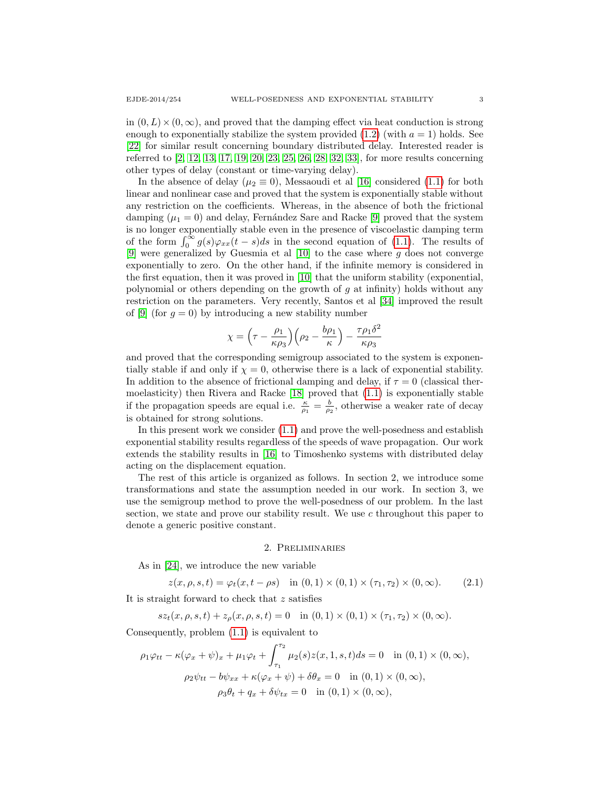in  $(0, L) \times (0, \infty)$ , and proved that the damping effect via heat conduction is strong enough to exponentially stabilize the system provided  $(1.2)$  (with  $a = 1$ ) holds. See [\[22\]](#page-13-10) for similar result concerning boundary distributed delay. Interested reader is referred to [\[2,](#page-13-11) [12,](#page-13-12) [13,](#page-13-13) [17,](#page-13-14) [19,](#page-13-15) [20,](#page-13-16) [23,](#page-13-17) [25,](#page-13-18) [26,](#page-13-19) [28,](#page-14-4) [32,](#page-14-5) [33\]](#page-14-6), for more results concerning other types of delay (constant or time-varying delay).

In the absence of delay ( $\mu_2 \equiv 0$ ), Messaoudi et al [\[16\]](#page-13-20) considered [\(1.1\)](#page-1-0) for both linear and nonlinear case and proved that the system is exponentially stable without any restriction on the coefficients. Whereas, in the absence of both the frictional damping  $(\mu_1 = 0)$  and delay, Fernández Sare and Racke [\[9\]](#page-13-21) proved that the system is no longer exponentially stable even in the presence of viscoelastic damping term of the form  $\int_0^{\infty} g(s)\varphi_{xx}(t-s)ds$  in the second equation of [\(1.1\)](#page-1-0). The results of [\[9\]](#page-13-21) were generalized by Guesmia et al  $[10]$  to the case where g does not converge exponentially to zero. On the other hand, if the infinite memory is considered in the first equation, then it was proved in [\[10\]](#page-13-22) that the uniform stability (exponential, polynomial or others depending on the growth of  $g$  at infinity) holds without any restriction on the parameters. Very recently, Santos et al [\[34\]](#page-14-7) improved the result of [\[9\]](#page-13-21) (for  $g = 0$ ) by introducing a new stability number

$$
\chi = \left(\tau - \frac{\rho_1}{\kappa \rho_3}\right) \left(\rho_2 - \frac{b\rho_1}{\kappa}\right) - \frac{\tau \rho_1 \delta^2}{\kappa \rho_3}
$$

and proved that the corresponding semigroup associated to the system is exponentially stable if and only if  $\chi = 0$ , otherwise there is a lack of exponential stability. In addition to the absence of frictional damping and delay, if  $\tau = 0$  (classical thermoelasticity) then Rivera and Racke [\[18\]](#page-13-23) proved that [\(1.1\)](#page-1-0) is exponentially stable if the propagation speeds are equal i.e.  $\frac{\kappa}{\rho_1} = \frac{b}{\rho_2}$ , otherwise a weaker rate of decay is obtained for strong solutions.

In this present work we consider [\(1.1\)](#page-1-0) and prove the well-posedness and establish exponential stability results regardless of the speeds of wave propagation. Our work extends the stability results in [\[16\]](#page-13-20) to Timoshenko systems with distributed delay acting on the displacement equation.

The rest of this article is organized as follows. In section 2, we introduce some transformations and state the assumption needed in our work. In section 3, we use the semigroup method to prove the well-posedness of our problem. In the last section, we state and prove our stability result. We use c throughout this paper to denote a generic positive constant.

#### 2. Preliminaries

As in [\[24\]](#page-13-8), we introduce the new variable

$$
z(x, \rho, s, t) = \varphi_t(x, t - \rho s) \quad \text{in } (0, 1) \times (0, 1) \times (\tau_1, \tau_2) \times (0, \infty). \tag{2.1}
$$

It is straight forward to check that z satisfies

$$
sz_t(x, \rho, s, t) + z_{\rho}(x, \rho, s, t) = 0 \quad \text{in } (0, 1) \times (0, 1) \times (\tau_1, \tau_2) \times (0, \infty).
$$

Consequently, problem [\(1.1\)](#page-1-0) is equivalent to

$$
\rho_1 \varphi_{tt} - \kappa (\varphi_x + \psi)_x + \mu_1 \varphi_t + \int_{\tau_1}^{\tau_2} \mu_2(s) z(x, 1, s, t) ds = 0 \text{ in } (0, 1) \times (0, \infty),
$$
  

$$
\rho_2 \psi_{tt} - b \psi_{xx} + \kappa (\varphi_x + \psi) + \delta \theta_x = 0 \text{ in } (0, 1) \times (0, \infty),
$$
  

$$
\rho_3 \theta_t + q_x + \delta \psi_{tx} = 0 \text{ in } (0, 1) \times (0, \infty),
$$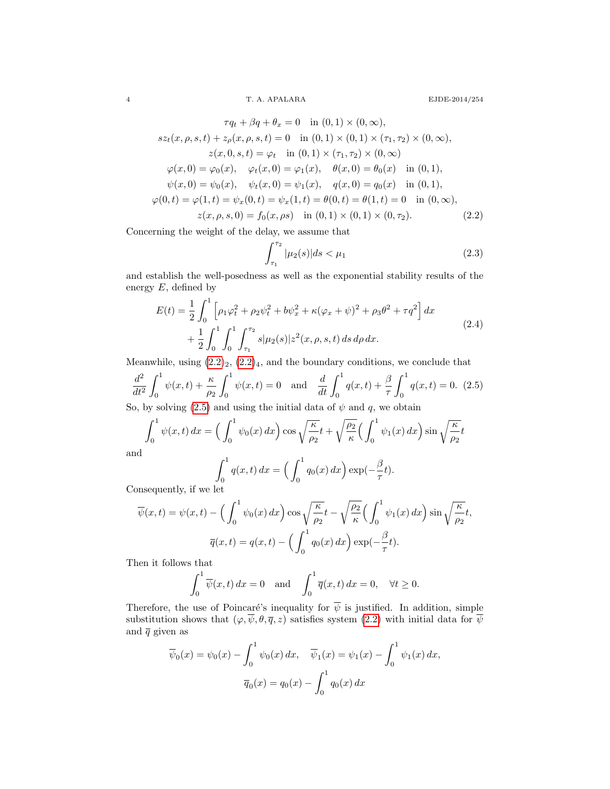4 T. A. APALARA EJDE-2014/254

$$
\tau q_t + \beta q + \theta_x = 0 \quad \text{in } (0,1) \times (0,\infty),
$$
  
\n
$$
sz_t(x,\rho,s,t) + z_\rho(x,\rho,s,t) = 0 \quad \text{in } (0,1) \times (0,1) \times (\tau_1,\tau_2) \times (0,\infty),
$$
  
\n
$$
z(x,0,s,t) = \varphi_t \quad \text{in } (0,1) \times (\tau_1,\tau_2) \times (0,\infty)
$$
  
\n
$$
\varphi(x,0) = \varphi_0(x), \quad \varphi_t(x,0) = \varphi_1(x), \quad \theta(x,0) = \theta_0(x) \quad \text{in } (0,1),
$$
  
\n
$$
\psi(x,0) = \psi_0(x), \quad \psi_t(x,0) = \psi_1(x), \quad q(x,0) = q_0(x) \quad \text{in } (0,1),
$$
  
\n
$$
\varphi(0,t) = \varphi(1,t) = \psi_x(0,t) = \psi_x(1,t) = \theta(0,t) = \theta(1,t) = 0 \quad \text{in } (0,\infty),
$$
  
\n
$$
z(x,\rho,s,0) = f_0(x,\rho s) \quad \text{in } (0,1) \times (0,1) \times (0,\tau_2).
$$
  
\n(2.2)

Concerning the weight of the delay, we assume that

<span id="page-3-2"></span><span id="page-3-0"></span>
$$
\int_{\tau_1}^{\tau_2} |\mu_2(s)| ds < \mu_1 \tag{2.3}
$$

and establish the well-posedness as well as the exponential stability results of the energy  $E$ , defined by

<span id="page-3-3"></span>
$$
E(t) = \frac{1}{2} \int_0^1 \left[ \rho_1 \varphi_t^2 + \rho_2 \psi_t^2 + b \psi_x^2 + \kappa (\varphi_x + \psi)^2 + \rho_3 \theta^2 + \tau q^2 \right] dx
$$
  
+ 
$$
\frac{1}{2} \int_0^1 \int_0^1 \int_{\tau_1}^{\tau_2} s |\mu_2(s)| z^2(x, \rho, s, t) ds d\rho dx.
$$
 (2.4)

Meanwhile, using  $(2.2)_2$  $(2.2)_2$ ,  $(2.2)_4$ , and the boundary conditions, we conclude that

<span id="page-3-1"></span>
$$
\frac{d^2}{dt^2} \int_0^1 \psi(x,t) + \frac{\kappa}{\rho_2} \int_0^1 \psi(x,t) = 0 \text{ and } \frac{d}{dt} \int_0^1 q(x,t) + \frac{\beta}{\tau} \int_0^1 q(x,t) = 0. \tag{2.5}
$$

So, by solving [\(2.5\)](#page-3-1) and using the initial data of  $\psi$  and  $q$ , we obtain

$$
\int_0^1 \psi(x,t) dx = \left(\int_0^1 \psi_0(x) dx\right) \cos\sqrt{\frac{\kappa}{\rho_2}}t + \sqrt{\frac{\rho_2}{\kappa}} \left(\int_0^1 \psi_1(x) dx\right) \sin\sqrt{\frac{\kappa}{\rho_2}}t
$$

and

$$
\int_0^1 q(x,t) dx = \left(\int_0^1 q_0(x) dx\right) \exp(-\frac{\beta}{\tau}t).
$$

Consequently, if we let

$$
\overline{\psi}(x,t) = \psi(x,t) - \left(\int_0^1 \psi_0(x) dx\right) \cos\sqrt{\frac{\kappa}{\rho_2}}t - \sqrt{\frac{\rho_2}{\kappa}} \left(\int_0^1 \psi_1(x) dx\right) \sin\sqrt{\frac{\kappa}{\rho_2}}t,
$$

$$
\overline{q}(x,t) = q(x,t) - \left(\int_0^1 q_0(x) dx\right) \exp(-\frac{\beta}{\tau}t).
$$

Then it follows that

$$
\int_0^1 \overline{\psi}(x,t) dx = 0 \text{ and } \int_0^1 \overline{q}(x,t) dx = 0, \quad \forall t \ge 0.
$$

Therefore, the use of Poincaré's inequality for  $\overline{\psi}$  is justified. In addition, simple substitution shows that  $(\varphi, \overline{\psi}, \theta, \overline{q}, z)$  satisfies system  $(2.2)$  with initial data for  $\overline{\psi}$ and  $\bar{q}$  given as

$$
\overline{\psi}_0(x) = \psi_0(x) - \int_0^1 \psi_0(x) dx, \quad \overline{\psi}_1(x) = \psi_1(x) - \int_0^1 \psi_1(x) dx,
$$

$$
\overline{q}_0(x) = q_0(x) - \int_0^1 q_0(x) dx
$$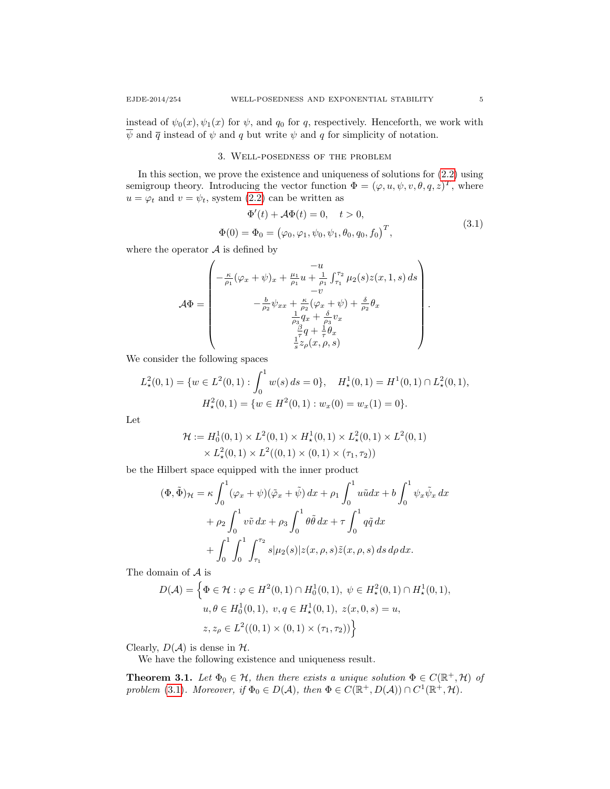instead of  $\psi_0(x), \psi_1(x)$  for  $\psi$ , and  $q_0$  for q, respectively. Henceforth, we work with  $\overline{\psi}$  and  $\overline{q}$  instead of  $\psi$  and  $q$  but write  $\psi$  and  $q$  for simplicity of notation.

## 3. Well-posedness of the problem

In this section, we prove the existence and uniqueness of solutions for [\(2.2\)](#page-3-0) using semigroup theory. Introducing the vector function  $\Phi = (\varphi, u, \psi, v, \theta, q, z)^T$ , where  $u = \varphi_t$  and  $v = \psi_t$ , system [\(2.2\)](#page-3-0) can be written as

<span id="page-4-0"></span>
$$
\Phi'(t) + \mathcal{A}\Phi(t) = 0, \quad t > 0,
$$
  

$$
\Phi(0) = \Phi_0 = (\varphi_0, \varphi_1, \psi_0, \psi_1, \theta_0, q_0, f_0)^T,
$$
\n(3.1)

where the operator  $A$  is defined by

$$
\mathcal{A}\Phi = \begin{pmatrix}\n-u \\
-\frac{\kappa}{\rho_1}(\varphi_x + \psi)_x + \frac{\mu_1}{\rho_1}u + \frac{1}{\rho_1}\int_{\tau_1}^{\tau_2}\mu_2(s)z(x,1,s)\,ds \\
-v \\
-\frac{b}{\rho_2}\psi_{xx} + \frac{\kappa}{\rho_2}(\varphi_x + \psi) + \frac{\delta}{\rho_2}\theta_x \\
\frac{1}{\rho_3}q_x + \frac{\delta}{\rho_3}v_x \\
\frac{\beta}{\rho}q + \frac{1}{\tau}\theta_x \\
\frac{1}{s}z_\rho(x,\rho,s)\n\end{pmatrix}.
$$

We consider the following spaces

$$
L_{\star}^{2}(0,1) = \{ w \in L^{2}(0,1) : \int_{0}^{1} w(s) ds = 0 \}, \quad H_{\star}^{1}(0,1) = H^{1}(0,1) \cap L_{\star}^{2}(0,1),
$$

$$
H_{\star}^{2}(0,1) = \{ w \in H^{2}(0,1) : w_{x}(0) = w_{x}(1) = 0 \}.
$$

Let

$$
\mathcal{H} := H_0^1(0,1) \times L^2(0,1) \times H_\star^1(0,1) \times L_\star^2(0,1) \times L^2(0,1) \times L_\star^2(0,1) \times L_\star^2(0,1) \times L^2((0,1) \times (0,1) \times (\tau_1, \tau_2))
$$

be the Hilbert space equipped with the inner product

$$
(\Phi, \tilde{\Phi})_{\mathcal{H}} = \kappa \int_0^1 (\varphi_x + \psi)(\tilde{\varphi}_x + \tilde{\psi}) dx + \rho_1 \int_0^1 u \tilde{u} dx + b \int_0^1 \psi_x \tilde{\psi}_x dx + \rho_2 \int_0^1 v \tilde{v} dx + \rho_3 \int_0^1 \theta \tilde{\theta} dx + \tau \int_0^1 q \tilde{q} dx + \int_0^1 \int_0^1 \int_{\tau_1}^{\tau_2} s |\mu_2(s)| z(x, \rho, s) \tilde{z}(x, \rho, s) ds d\rho dx.
$$

The domain of A is

$$
D(\mathcal{A}) = \left\{ \Phi \in \mathcal{H} : \varphi \in H^2(0,1) \cap H_0^1(0,1), \ \psi \in H^2_{\star}(0,1) \cap H_{\star}^1(0,1), \ u, \theta \in H_0^1(0,1), \ v, q \in H_{\star}^1(0,1), \ z(x,0,s) = u, \ z, z_{\rho} \in L^2((0,1) \times (0,1) \times (\tau_1, \tau_2)) \right\}
$$

Clearly,  $D(\mathcal{A})$  is dense in  $\mathcal{H}$ .

We have the following existence and uniqueness result.

<span id="page-4-1"></span>**Theorem 3.1.** Let  $\Phi_0 \in \mathcal{H}$ , then there exists a unique solution  $\Phi \in C(\mathbb{R}^+, \mathcal{H})$  of problem [\(3.1\)](#page-4-0). Moreover, if  $\Phi_0 \in D(\mathcal{A})$ , then  $\Phi \in C(\mathbb{R}^+, D(\mathcal{A})) \cap C^1(\mathbb{R}^+, \mathcal{H})$ .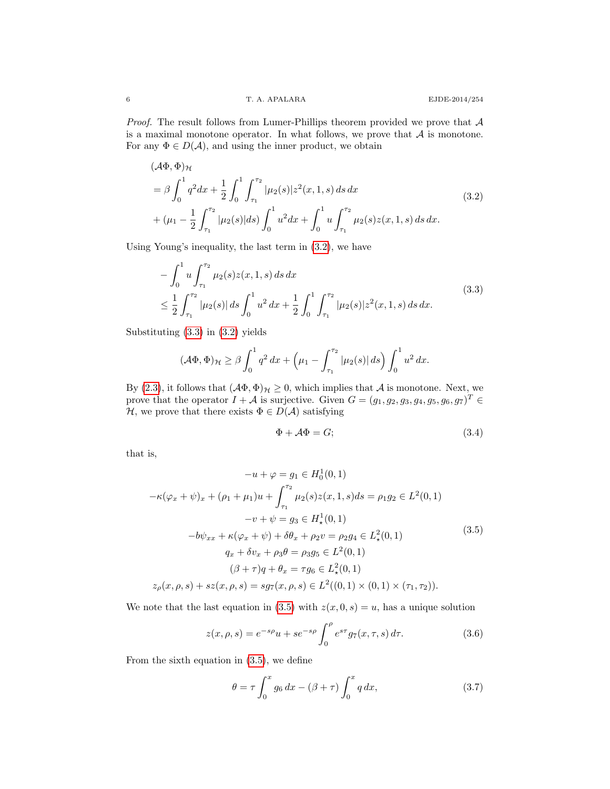*Proof.* The result follows from Lumer-Phillips theorem provided we prove that  $A$ is a maximal monotone operator. In what follows, we prove that  $A$  is monotone. For any  $\Phi \in D(\mathcal{A})$ , and using the inner product, we obtain

<span id="page-5-0"></span>
$$
(\mathcal{A}\Phi, \Phi)_{\mathcal{H}}
$$
  
=  $\beta \int_0^1 q^2 dx + \frac{1}{2} \int_0^1 \int_{\tau_1}^{\tau_2} |\mu_2(s)| z^2(x, 1, s) ds dx$   
+  $(\mu_1 - \frac{1}{2} \int_{\tau_1}^{\tau_2} |\mu_2(s)| ds) \int_0^1 u^2 dx + \int_0^1 u \int_{\tau_1}^{\tau_2} \mu_2(s) z(x, 1, s) ds dx.$  (3.2)

Using Young's inequality, the last term in [\(3.2\)](#page-5-0), we have

<span id="page-5-1"></span>
$$
-\int_0^1 u \int_{\tau_1}^{\tau_2} \mu_2(s) z(x, 1, s) ds dx
$$
  
\n
$$
\leq \frac{1}{2} \int_{\tau_1}^{\tau_2} |\mu_2(s)| ds \int_0^1 u^2 dx + \frac{1}{2} \int_0^1 \int_{\tau_1}^{\tau_2} |\mu_2(s)| z^2(x, 1, s) ds dx.
$$
\n(3.3)

Substituting [\(3.3\)](#page-5-1) in [\(3.2\)](#page-5-0) yields

$$
(\mathcal{A}\Phi,\Phi)_{\mathcal{H}} \geq \beta \int_0^1 q^2 dx + \left(\mu_1 - \int_{\tau_1}^{\tau_2} |\mu_2(s)| ds\right) \int_0^1 u^2 dx.
$$

By [\(2.3\)](#page-3-2), it follows that  $(A\Phi, \Phi)_{\mathcal{H}} \geq 0$ , which implies that A is monotone. Next, we prove that the operator  $I + A$  is surjective. Given  $G = (g_1, g_2, g_3, g_4, g_5, g_6, g_7)^T \in$ H, we prove that there exists  $\Phi \in D(\mathcal{A})$  satisfying

<span id="page-5-5"></span>
$$
\Phi + \mathcal{A}\Phi = G; \tag{3.4}
$$

that is,

<span id="page-5-2"></span>
$$
-u + \varphi = g_1 \in H_0^1(0, 1)
$$
  
\n
$$
-\kappa(\varphi_x + \psi)_x + (\rho_1 + \mu_1)u + \int_{\tau_1}^{\tau_2} \mu_2(s)z(x, 1, s)ds = \rho_1 g_2 \in L^2(0, 1)
$$
  
\n
$$
-v + \psi = g_3 \in H_\star^1(0, 1)
$$
  
\n
$$
-b\psi_{xx} + \kappa(\varphi_x + \psi) + \delta\theta_x + \rho_2 v = \rho_2 g_4 \in L_\star^2(0, 1)
$$
  
\n
$$
q_x + \delta v_x + \rho_3 \theta = \rho_3 g_5 \in L^2(0, 1)
$$
  
\n
$$
(\beta + \tau)q + \theta_x = \tau g_6 \in L_\star^2(0, 1)
$$
  
\n
$$
z_\rho(x, \rho, s) + sz(x, \rho, s) = sg_7(x, \rho, s) \in L^2((0, 1) \times (0, 1) \times (\tau_1, \tau_2)).
$$
 (3.5)

We note that the last equation in [\(3.5\)](#page-5-2) with  $z(x, 0, s) = u$ , has a unique solution

<span id="page-5-4"></span>
$$
z(x, \rho, s) = e^{-s\rho}u + s e^{-s\rho} \int_0^{\rho} e^{s\tau} g_7(x, \tau, s) d\tau.
$$
 (3.6)

From the sixth equation in [\(3.5\)](#page-5-2), we define

<span id="page-5-3"></span>
$$
\theta = \tau \int_0^x g_6 \, dx - (\beta + \tau) \int_0^x q \, dx,\tag{3.7}
$$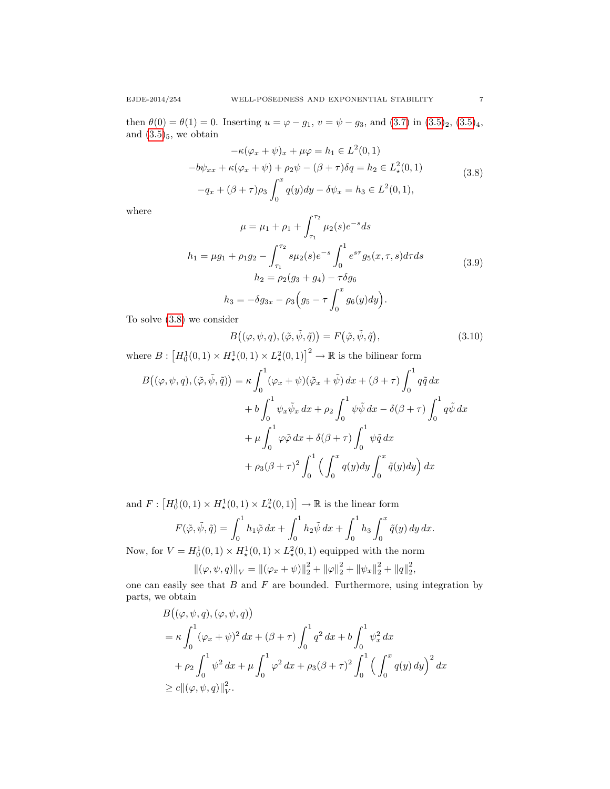then  $\theta(0) = \theta(1) = 0$ . Inserting  $u = \varphi - g_1$ ,  $v = \psi - g_3$ , and  $(3.7)$  in  $(3.5)_2$  $(3.5)_2$ ,  $(3.5)_4$ , and  $(3.5)_5$  $(3.5)_5$ , we obtain

<span id="page-6-0"></span>
$$
-\kappa(\varphi_x + \psi)_x + \mu \varphi = h_1 \in L^2(0, 1)
$$
  

$$
-\delta \psi_{xx} + \kappa(\varphi_x + \psi) + \rho_2 \psi - (\beta + \tau) \delta q = h_2 \in L^2_*(0, 1)
$$
  

$$
-q_x + (\beta + \tau) \rho_3 \int_0^x q(y) dy - \delta \psi_x = h_3 \in L^2(0, 1),
$$
 (3.8)

where

$$
\mu = \mu_1 + \rho_1 + \int_{\tau_1}^{\tau_2} \mu_2(s)e^{-s}ds
$$
  
\n
$$
h_1 = \mu g_1 + \rho_1 g_2 - \int_{\tau_1}^{\tau_2} s\mu_2(s)e^{-s} \int_0^1 e^{s\tau} g_5(x,\tau,s)d\tau ds
$$
  
\n
$$
h_2 = \rho_2(g_3 + g_4) - \tau \delta g_6
$$
  
\n
$$
h_3 = -\delta g_{3x} - \rho_3(g_5 - \tau \int_0^x g_6(y)dy).
$$
\n(3.9)

To solve [\(3.8\)](#page-6-0) we consider

<span id="page-6-1"></span>
$$
B((\varphi, \psi, q), (\tilde{\varphi}, \tilde{\psi}, \tilde{q})) = F(\tilde{\varphi}, \tilde{\psi}, \tilde{q}), \qquad (3.10)
$$

where  $B: [H_0^1(0,1) \times H_\star^1(0,1) \times L_\star^2(0,1)]^2 \to \mathbb{R}$  is the bilinear form

$$
B((\varphi, \psi, q), (\tilde{\varphi}, \tilde{\psi}, \tilde{q})) = \kappa \int_0^1 (\varphi_x + \psi)(\tilde{\varphi}_x + \tilde{\psi}) dx + (\beta + \tau) \int_0^1 q \tilde{q} dx
$$
  
+  $b \int_0^1 \psi_x \tilde{\psi}_x dx + \rho_2 \int_0^1 \psi \tilde{\psi} dx - \delta(\beta + \tau) \int_0^1 q \tilde{\psi} dx$   
+  $\mu \int_0^1 \varphi \tilde{\varphi} dx + \delta(\beta + \tau) \int_0^1 \psi \tilde{q} dx$   
+  $\rho_3(\beta + \tau)^2 \int_0^1 \left( \int_0^x q(y) dy \int_0^x \tilde{q}(y) dy \right) dx$ 

and  $F: [H_0^1(0,1) \times H_*^1(0,1) \times L_*^2(0,1)] \to \mathbb{R}$  is the linear form

$$
F(\tilde{\varphi}, \tilde{\psi}, \tilde{q}) = \int_0^1 h_1 \tilde{\varphi} \, dx + \int_0^1 h_2 \tilde{\psi} \, dx + \int_0^1 h_3 \int_0^x \tilde{q}(y) \, dy \, dx.
$$

Now, for  $V = H_0^1(0,1) \times H_*^1(0,1) \times L_*^2(0,1)$  equipped with the norm

$$
\|(\varphi, \psi, q)\|_{V} = \|(\varphi_x + \psi)\|_2^2 + \|\varphi\|_2^2 + \|\psi_x\|_2^2 + \|q\|_2^2,
$$

one can easily see that  $B$  and  $F$  are bounded. Furthermore, using integration by parts, we obtain

$$
B((\varphi, \psi, q), (\varphi, \psi, q))
$$
  
=  $\kappa \int_0^1 (\varphi_x + \psi)^2 dx + (\beta + \tau) \int_0^1 q^2 dx + b \int_0^1 \psi_x^2 dx$   
+  $\rho_2 \int_0^1 \psi^2 dx + \mu \int_0^1 \varphi^2 dx + \rho_3 (\beta + \tau)^2 \int_0^1 \left( \int_0^x q(y) dy \right)^2 dx$   
 $\geq c \|(\varphi, \psi, q)\|_V^2.$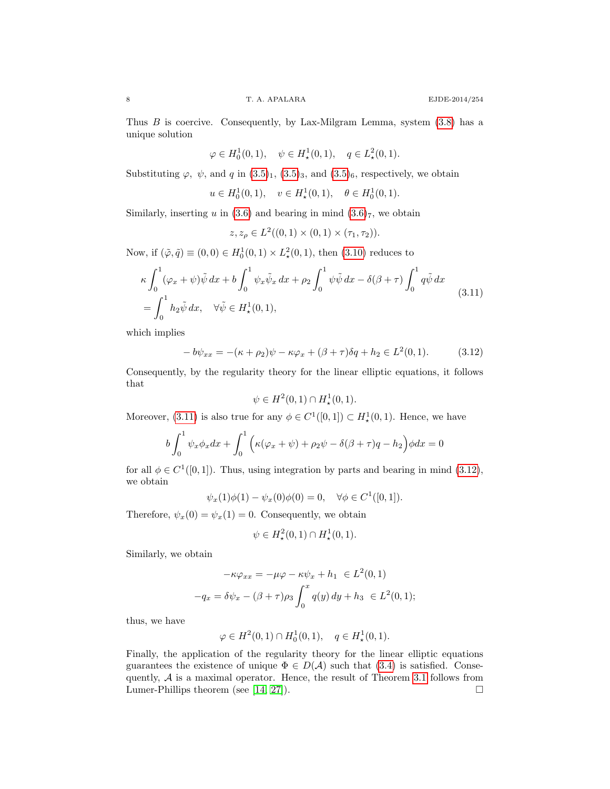Thus  $B$  is coercive. Consequently, by Lax-Milgram Lemma, system  $(3.8)$  has a unique solution

$$
\varphi \in H_0^1(0,1), \quad \psi \in H^1_*(0,1), \quad q \in L^2_*(0,1).
$$

Substituting  $\varphi$ ,  $\psi$ , and q in  $(3.5)_1$  $(3.5)_1$ ,  $(3.5)_3$ , and  $(3.5)_6$ , respectively, we obtain

$$
u \in H_0^1(0,1), \quad v \in H_\star^1(0,1), \quad \theta \in H_0^1(0,1).
$$

Similarly, inserting u in [\(3.6\)](#page-5-4) and bearing in mind  $(3.6)$ <sup>7</sup>, we obtain

$$
z, z_{\rho} \in L^2((0,1) \times (0,1) \times (\tau_1, \tau_2)).
$$

Now, if  $(\tilde{\varphi}, \tilde{q}) \equiv (0, 0) \in H_0^1(0, 1) \times L^2_*(0, 1)$ , then  $(3.10)$  reduces to

<span id="page-7-0"></span>
$$
\kappa \int_0^1 (\varphi_x + \psi) \tilde{\psi} \, dx + b \int_0^1 \psi_x \tilde{\psi}_x \, dx + \rho_2 \int_0^1 \psi \tilde{\psi} \, dx - \delta(\beta + \tau) \int_0^1 q \tilde{\psi} \, dx
$$
\n
$$
= \int_0^1 h_2 \tilde{\psi} \, dx, \quad \forall \tilde{\psi} \in H^1_*(0, 1), \tag{3.11}
$$

which implies

<span id="page-7-1"></span>
$$
-b\psi_{xx} = -(\kappa + \rho_2)\psi - \kappa\varphi_x + (\beta + \tau)\delta q + h_2 \in L^2(0,1).
$$
 (3.12)

Consequently, by the regularity theory for the linear elliptic equations, it follows that

$$
\psi \in H^2(0,1) \cap H^1_\star(0,1).
$$

Moreover, [\(3.11\)](#page-7-0) is also true for any  $\phi \in C^1([0,1]) \subset H^1_\star(0,1)$ . Hence, we have

$$
b\int_0^1 \psi_x \phi_x dx + \int_0^1 \Big( \kappa(\varphi_x + \psi) + \rho_2 \psi - \delta(\beta + \tau)q - h_2 \Big) \phi dx = 0
$$

for all  $\phi \in C^1([0,1])$ . Thus, using integration by parts and bearing in mind [\(3.12\)](#page-7-1), we obtain

$$
\psi_x(1)\phi(1) - \psi_x(0)\phi(0) = 0, \quad \forall \phi \in C^1([0,1]).
$$

Therefore,  $\psi_x(0) = \psi_x(1) = 0$ . Consequently, we obtain

$$
\psi \in H^2_{\star}(0,1) \cap H^1_{\star}(0,1).
$$

Similarly, we obtain

$$
-\kappa \varphi_{xx} = -\mu \varphi - \kappa \psi_x + h_1 \in L^2(0, 1)
$$

$$
-q_x = \delta \psi_x - (\beta + \tau) \rho_3 \int_0^x q(y) \, dy + h_3 \in L^2(0, 1);
$$

thus, we have

$$
\varphi \in H^2(0,1) \cap H_0^1(0,1), \quad q \in H^1_\star(0,1).
$$

Finally, the application of the regularity theory for the linear elliptic equations guarantees the existence of unique  $\Phi \in D(\mathcal{A})$  such that [\(3.4\)](#page-5-5) is satisfied. Consequently,  $A$  is a maximal operator. Hence, the result of Theorem [3.1](#page-4-1) follows from Lumer-Phillips theorem (see [\[14,](#page-13-24) [27\]](#page-14-8)).  $\square$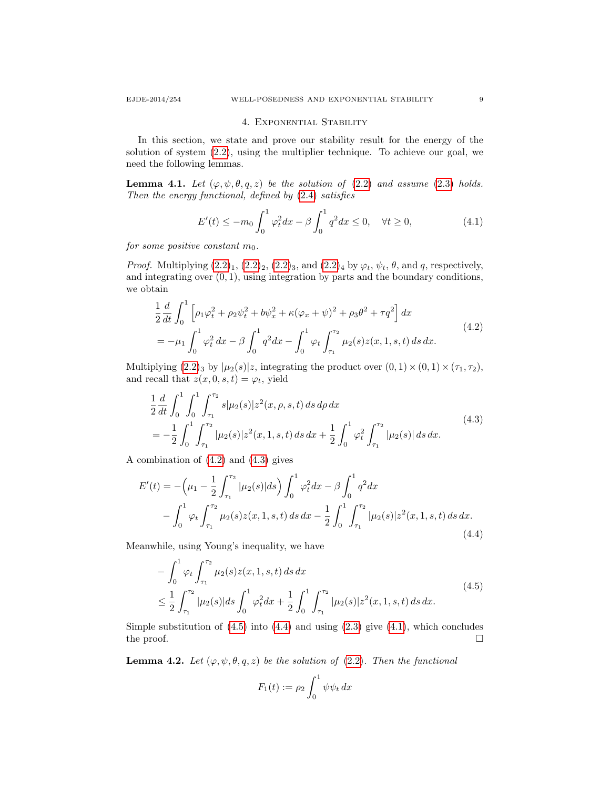#### 4. Exponential Stability

In this section, we state and prove our stability result for the energy of the solution of system [\(2.2\)](#page-3-0), using the multiplier technique. To achieve our goal, we need the following lemmas.

**Lemma 4.1.** Let  $(\varphi, \psi, \theta, q, z)$  be the solution of  $(2.2)$  and assume  $(2.3)$  holds. Then the energy functional, defined by [\(2.4\)](#page-3-3) satisfies

<span id="page-8-4"></span>
$$
E'(t) \le -m_0 \int_0^1 \varphi_t^2 dx - \beta \int_0^1 q^2 dx \le 0, \quad \forall t \ge 0,
$$
 (4.1)

for some positive constant  $m_0$ .

*Proof.* Multiplying  $(2.2)_1$  $(2.2)_1$ ,  $(2.2)_2$ ,  $(2.2)_3$ , and  $(2.2)_4$  by  $\varphi_t$ ,  $\psi_t$ ,  $\theta$ , and q, respectively, and integrating over  $(0, 1)$ , using integration by parts and the boundary conditions, we obtain

<span id="page-8-0"></span>
$$
\frac{1}{2}\frac{d}{dt}\int_0^1 \left[\rho_1\varphi_t^2 + \rho_2\psi_t^2 + b\psi_x^2 + \kappa(\varphi_x + \psi)^2 + \rho_3\theta^2 + \tau q^2\right]dx
$$
\n
$$
= -\mu_1 \int_0^1 \varphi_t^2 dx - \beta \int_0^1 q^2 dx - \int_0^1 \varphi_t \int_{\tau_1}^{\tau_2} \mu_2(s)z(x, 1, s, t) ds dx.
$$
\n(4.2)

Multiplying  $(2.2)_3$  $(2.2)_3$  by  $|\mu_2(s)|z$ , integrating the product over  $(0, 1) \times (0, 1) \times (\tau_1, \tau_2)$ , and recall that  $z(x, 0, s, t) = \varphi_t$ , yield

<span id="page-8-1"></span>
$$
\frac{1}{2}\frac{d}{dt}\int_{0}^{1}\int_{0}^{1}\int_{\tau_{1}}^{\tau_{2}}s|\mu_{2}(s)|z^{2}(x,\rho,s,t) ds d\rho dx
$$
\n
$$
=-\frac{1}{2}\int_{0}^{1}\int_{\tau_{1}}^{\tau_{2}}|\mu_{2}(s)|z^{2}(x,1,s,t) ds dx + \frac{1}{2}\int_{0}^{1}\varphi_{t}^{2}\int_{\tau_{1}}^{\tau_{2}}|\mu_{2}(s)| ds dx.
$$
\n(4.3)

A combination of [\(4.2\)](#page-8-0) and [\(4.3\)](#page-8-1) gives

<span id="page-8-3"></span>
$$
E'(t) = -\left(\mu_1 - \frac{1}{2} \int_{\tau_1}^{\tau_2} |\mu_2(s)| ds\right) \int_0^1 \varphi_t^2 dx - \beta \int_0^1 q^2 dx
$$
  

$$
- \int_0^1 \varphi_t \int_{\tau_1}^{\tau_2} \mu_2(s) z(x, 1, s, t) ds dx - \frac{1}{2} \int_0^1 \int_{\tau_1}^{\tau_2} |\mu_2(s)| z^2(x, 1, s, t) ds dx.
$$
(4.4)

Meanwhile, using Young's inequality, we have

<span id="page-8-2"></span>
$$
-\int_0^1 \varphi_t \int_{\tau_1}^{\tau_2} \mu_2(s) z(x, 1, s, t) ds dx
$$
  
\n
$$
\leq \frac{1}{2} \int_{\tau_1}^{\tau_2} |\mu_2(s)| ds \int_0^1 \varphi_t^2 dx + \frac{1}{2} \int_0^1 \int_{\tau_1}^{\tau_2} |\mu_2(s)| z^2(x, 1, s, t) ds dx.
$$
\n(4.5)

Simple substitution of  $(4.5)$  into  $(4.4)$  and using  $(2.3)$  give  $(4.1)$ , which concludes the proof.  $\Box$ 

**Lemma 4.2.** Let  $(\varphi, \psi, \theta, q, z)$  be the solution of [\(2.2\)](#page-3-0). Then the functional

$$
F_1(t) := \rho_2 \int_0^1 \psi \psi_t dx
$$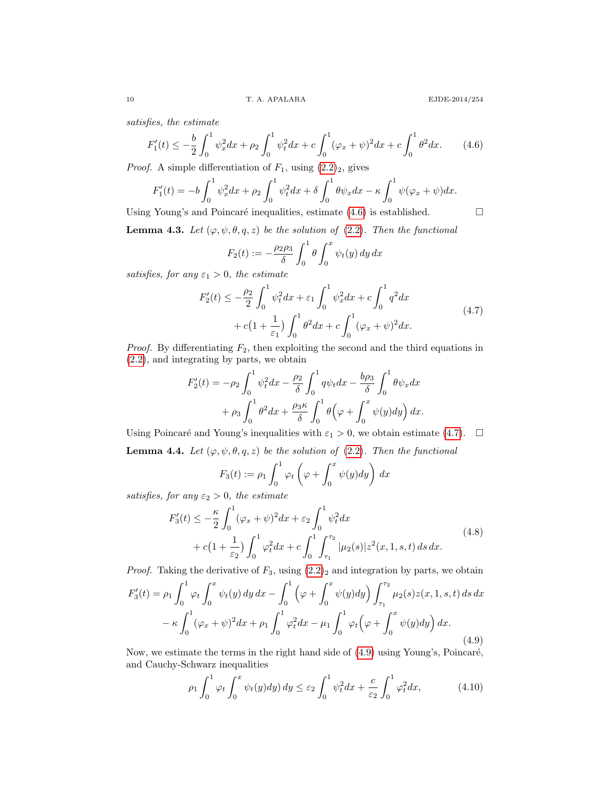satisfies, the estimate

<span id="page-9-0"></span>
$$
F_1'(t) \le -\frac{b}{2} \int_0^1 \psi_x^2 dx + \rho_2 \int_0^1 \psi_t^2 dx + c \int_0^1 (\varphi_x + \psi)^2 dx + c \int_0^1 \theta^2 dx. \tag{4.6}
$$

*Proof.* A simple differentiation of  $F_1$ , using  $(2.2)_2$  $(2.2)_2$ , gives

$$
F_1'(t) = -b \int_0^1 \psi_x^2 dx + \rho_2 \int_0^1 \psi_t^2 dx + \delta \int_0^1 \theta \psi_x dx - \kappa \int_0^1 \psi(\varphi_x + \psi) dx.
$$
  
Using Young's and Poincaré inequalities, estimate (4.6) is established.

**Lemma 4.3.** Let  $(\varphi, \psi, \theta, q, z)$  be the solution of [\(2.2\)](#page-3-0). Then the functional

$$
F_2(t) := -\frac{\rho_2 \rho_3}{\delta} \int_0^1 \theta \int_0^x \psi_t(y) \, dy \, dx
$$

satisfies, for any  $\varepsilon_1 > 0$ , the estimate

<span id="page-9-1"></span>
$$
F_2'(t) \le -\frac{\rho_2}{2} \int_0^1 \psi_t^2 dx + \varepsilon_1 \int_0^1 \psi_x^2 dx + c \int_0^1 q^2 dx + c\left(1 + \frac{1}{\varepsilon_1}\right) \int_0^1 \theta^2 dx + c \int_0^1 (\varphi_x + \psi)^2 dx.
$$
 (4.7)

*Proof.* By differentiating  $F_2$ , then exploiting the second and the third equations in [\(2.2\)](#page-3-0), and integrating by parts, we obtain

$$
F_2'(t) = -\rho_2 \int_0^1 \psi_t^2 dx - \frac{\rho_2}{\delta} \int_0^1 q\psi_t dx - \frac{b\rho_3}{\delta} \int_0^1 \theta \psi_x dx
$$

$$
+ \rho_3 \int_0^1 \theta^2 dx + \frac{\rho_3 \kappa}{\delta} \int_0^1 \theta \left(\varphi + \int_0^x \psi(y) dy\right) dx.
$$

Using Poincaré and Young's inequalities with  $\varepsilon_1 > 0$ , we obtain estimate [\(4.7\)](#page-9-1).  $\Box$ **Lemma 4.4.** Let  $(\varphi, \psi, \theta, q, z)$  be the solution of [\(2.2\)](#page-3-0). Then the functional

**4.4.** Let 
$$
(\varphi, \psi, \sigma, q, z)
$$
 be the solution of (2.2). Then the jump

$$
F_3(t) := \rho_1 \int_0^1 \varphi_t \left( \varphi + \int_0^x \psi(y) dy \right) dx
$$

satisfies, for any  $\varepsilon_2 > 0$ , the estimate

<span id="page-9-3"></span>
$$
F_3'(t) \le -\frac{\kappa}{2} \int_0^1 (\varphi_x + \psi)^2 dx + \varepsilon_2 \int_0^1 \psi_t^2 dx + c \left( 1 + \frac{1}{\varepsilon_2} \right) \int_0^1 \varphi_t^2 dx + c \int_0^1 \int_{\tau_1}^{\tau_2} |\mu_2(s)| z^2(x, 1, s, t) ds dx.
$$
 (4.8)

*Proof.* Taking the derivative of  $F_3$ , using  $(2.2)_2$  $(2.2)_2$  and integration by parts, we obtain

<span id="page-9-2"></span>
$$
F_3'(t) = \rho_1 \int_0^1 \varphi_t \int_0^x \psi_t(y) \, dy \, dx - \int_0^1 \left( \varphi + \int_0^x \psi(y) \, dy \right) \int_{\tau_1}^{\tau_2} \mu_2(s) z(x, 1, s, t) \, ds \, dx
$$

$$
- \kappa \int_0^1 (\varphi_x + \psi)^2 \, dx + \rho_1 \int_0^1 \varphi_t^2 \, dx - \mu_1 \int_0^1 \varphi_t \left( \varphi + \int_0^x \psi(y) \, dy \right) \, dx. \tag{4.9}
$$

Now, we estimate the terms in the right hand side of  $(4.9)$  using Young's, Poincaré, and Cauchy-Schwarz inequalities

<span id="page-9-4"></span>
$$
\rho_1 \int_0^1 \varphi_t \int_0^x \psi_t(y) dy \, dy \leq \varepsilon_2 \int_0^1 \psi_t^2 dx + \frac{c}{\varepsilon_2} \int_0^1 \varphi_t^2 dx, \tag{4.10}
$$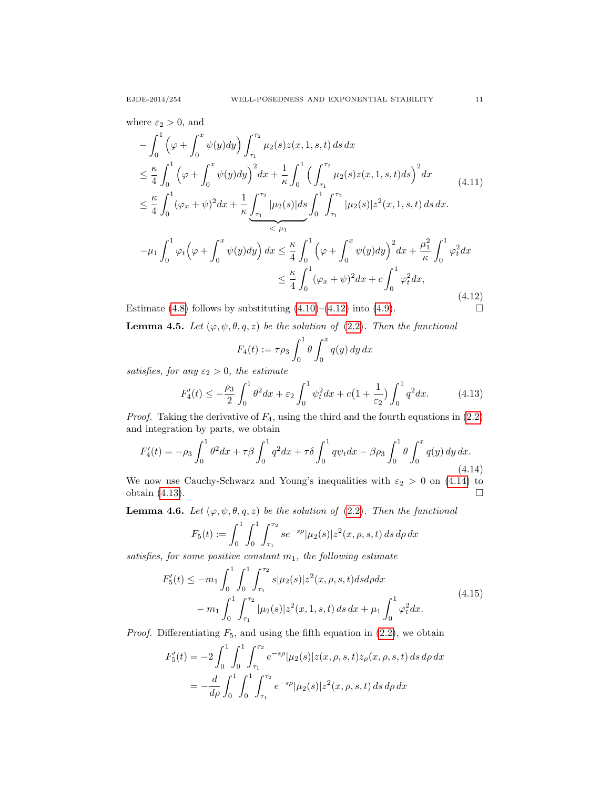$$
-\int_{0}^{1} \left(\varphi + \int_{0}^{x} \psi(y) dy\right) \int_{\tau_{1}}^{\tau_{2}} \mu_{2}(s) z(x, 1, s, t) ds dx
$$
  
\n
$$
\leq \frac{\kappa}{4} \int_{0}^{1} \left(\varphi + \int_{0}^{x} \psi(y) dy\right)^{2} dx + \frac{1}{\kappa} \int_{0}^{1} \left(\int_{\tau_{1}}^{\tau_{2}} \mu_{2}(s) z(x, 1, s, t) ds\right)^{2} dx
$$
(4.11)  
\n
$$
\leq \frac{\kappa}{4} \int_{0}^{1} (\varphi_{x} + \psi)^{2} dx + \frac{1}{\kappa} \underbrace{\int_{\tau_{1}}^{\tau_{2}} |\mu_{2}(s)| ds}_{\tau_{1}} \int_{0}^{1} \int_{\tau_{1}}^{\tau_{2}} |\mu_{2}(s)| z^{2}(x, 1, s, t) ds dx.
$$
  
\n
$$
-\mu_{1} \int_{0}^{1} \varphi_{t} \left(\varphi + \int_{0}^{x} \psi(y) dy\right) dx \leq \frac{\kappa}{4} \int_{0}^{1} \left(\varphi + \int_{0}^{x} \psi(y) dy\right)^{2} dx + \frac{\mu_{1}^{2}}{\kappa} \int_{0}^{1} \varphi_{t}^{2} dx
$$
  
\n
$$
\leq \frac{\kappa}{4} \int_{0}^{1} (\varphi_{x} + \psi)^{2} dx + c \int_{0}^{1} \varphi_{t}^{2} dx,
$$
(4.12)

<span id="page-10-0"></span>Estimate [\(4.8\)](#page-9-3) follows by substituting  $(4.10)$ – $(4.12)$  into  $(4.9)$ .

**Lemma 4.5.** Let  $(\varphi, \psi, \theta, q, z)$  be the solution of [\(2.2\)](#page-3-0). Then the functional

$$
F_4(t) := \tau \rho_3 \int_0^1 \theta \int_0^x q(y) dy dx
$$

satisfies, for any  $\varepsilon_2 > 0$ , the estimate

<span id="page-10-2"></span>
$$
F_4'(t) \le -\frac{\rho_3}{2} \int_0^1 \theta^2 dx + \varepsilon_2 \int_0^1 \psi_t^2 dx + c \left( 1 + \frac{1}{\varepsilon_2} \right) \int_0^1 q^2 dx. \tag{4.13}
$$

*Proof.* Taking the derivative of  $F_4$ , using the third and the fourth equations in  $(2.2)$ and integration by parts, we obtain

<span id="page-10-1"></span>
$$
F_4'(t) = -\rho_3 \int_0^1 \theta^2 dx + \tau \beta \int_0^1 q^2 dx + \tau \delta \int_0^1 q\psi_t dx - \beta \rho_3 \int_0^1 \theta \int_0^x q(y) dy dx.
$$
\n(4.14)

We now use Cauchy-Schwarz and Young's inequalities with  $\varepsilon_2 > 0$  on [\(4.14\)](#page-10-1) to obtain (4.13). obtain [\(4.13\)](#page-10-2).

**Lemma 4.6.** Let  $(\varphi, \psi, \theta, q, z)$  be the solution of [\(2.2\)](#page-3-0). Then the functional

$$
F_5(t) := \int_0^1 \int_0^1 \int_{\tau_1}^{\tau_2} s e^{-s\rho} |\mu_2(s)| z^2(x, \rho, s, t) ds d\rho dx
$$

satisfies, for some positive constant  $m_1$ , the following estimate

<span id="page-10-3"></span>
$$
F'_{5}(t) \leq -m_{1} \int_{0}^{1} \int_{0}^{1} \int_{\tau_{1}}^{\tau_{2}} s|\mu_{2}(s)| z^{2}(x, \rho, s, t) ds d\rho dx
$$
  

$$
-m_{1} \int_{0}^{1} \int_{\tau_{1}}^{\tau_{2}} |\mu_{2}(s)| z^{2}(x, 1, s, t) ds dx + \mu_{1} \int_{0}^{1} \varphi_{t}^{2} dx.
$$
 (4.15)

*Proof.* Differentiating  $F_5$ , and using the fifth equation in  $(2.2)$ , we obtain

$$
F'_{5}(t) = -2 \int_{0}^{1} \int_{0}^{1} \int_{\tau_{1}}^{\tau_{2}} e^{-s\rho} |\mu_{2}(s)| z(x, \rho, s, t) z_{\rho}(x, \rho, s, t) ds d\rho dx
$$
  
= 
$$
-\frac{d}{d\rho} \int_{0}^{1} \int_{0}^{1} \int_{\tau_{1}}^{\tau_{2}} e^{-s\rho} |\mu_{2}(s)| z^{2}(x, \rho, s, t) ds d\rho dx
$$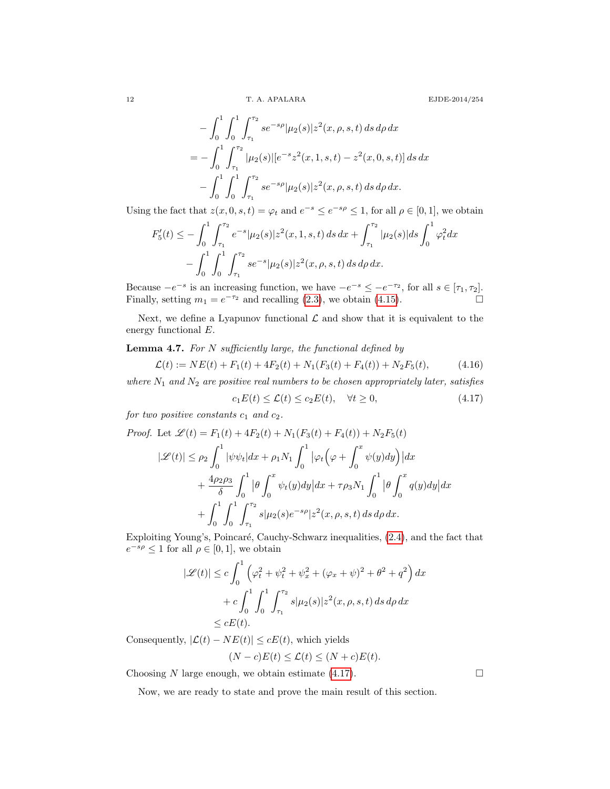12 T. A. APALARA EJDE-2014/254

$$
- \int_0^1 \int_0^1 \int_{\tau_1}^{\tau_2} s e^{-s\rho} |\mu_2(s)| z^2(x, \rho, s, t) ds d\rho dx
$$
  
= 
$$
- \int_0^1 \int_{\tau_1}^{\tau_2} |\mu_2(s)| [e^{-s} z^2(x, 1, s, t) - z^2(x, 0, s, t)] ds dx
$$
  

$$
- \int_0^1 \int_0^1 \int_{\tau_1}^{\tau_2} s e^{-s\rho} |\mu_2(s)| z^2(x, \rho, s, t) ds d\rho dx.
$$

Using the fact that  $z(x, 0, s, t) = \varphi_t$  and  $e^{-s} \leq e^{-s\rho} \leq 1$ , for all  $\rho \in [0, 1]$ , we obtain

$$
F_5'(t) \le -\int_0^1 \int_{\tau_1}^{\tau_2} e^{-s} |\mu_2(s)| z^2(x, 1, s, t) ds dx + \int_{\tau_1}^{\tau_2} |\mu_2(s)| ds \int_0^1 \varphi_t^2 dx
$$
  

$$
-\int_0^1 \int_0^1 \int_{\tau_1}^{\tau_2} s e^{-s} |\mu_2(s)| z^2(x, \rho, s, t) ds d\rho dx.
$$

Because  $-e^{-s}$  is an increasing function, we have  $-e^{-s} \leq -e^{-\tau_2}$ , for all  $s \in [\tau_1, \tau_2]$ . Finally, setting  $m_1 = e^{-\tau_2}$  and recalling [\(2.3\)](#page-3-2), we obtain [\(4.15\)](#page-10-3).

Next, we define a Lyapunov functional  $\mathcal L$  and show that it is equivalent to the energy functional E.

Lemma 4.7. For N sufficiently large, the functional defined by

<span id="page-11-1"></span>
$$
\mathcal{L}(t) := NE(t) + F_1(t) + 4F_2(t) + N_1(F_3(t) + F_4(t)) + N_2F_5(t), \tag{4.16}
$$

where  $N_1$  and  $N_2$  are positive real numbers to be chosen appropriately later, satisfies

<span id="page-11-0"></span>
$$
c_1 E(t) \le \mathcal{L}(t) \le c_2 E(t), \quad \forall t \ge 0,
$$
\n(4.17)

for two positive constants  $c_1$  and  $c_2$ .

Proof. Let 
$$
\mathscr{L}(t) = F_1(t) + 4F_2(t) + N_1(F_3(t) + F_4(t)) + N_2F_5(t)
$$
  
\n
$$
|\mathscr{L}(t)| \le \rho_2 \int_0^1 |\psi \psi_t| dx + \rho_1 N_1 \int_0^1 |\varphi_t (\varphi + \int_0^x \psi(y) dy)| dx
$$
\n
$$
+ \frac{4\rho_2 \rho_3}{\delta} \int_0^1 |\theta \int_0^x \psi_t(y) dy| dx + \tau \rho_3 N_1 \int_0^1 |\theta \int_0^x q(y) dy| dx
$$
\n
$$
+ \int_0^1 \int_0^1 \int_{\tau_1}^{\tau_2} s |\mu_2(s) e^{-s\rho} | z^2(x, \rho, s, t) ds d\rho dx.
$$

Exploiting Young's, Poincaré, Cauchy-Schwarz inequalities,  $(2.4)$ , and the fact that  $e^{-s\rho} \leq 1$  for all  $\rho \in [0,1]$ , we obtain

$$
|\mathcal{L}(t)| \le c \int_0^1 \left( \varphi_t^2 + \psi_t^2 + \psi_x^2 + (\varphi_x + \psi)^2 + \theta^2 + q^2 \right) dx
$$
  
+  $c \int_0^1 \int_0^1 \int_{\tau_1}^{\tau_2} s |\mu_2(s)| z^2(x, \rho, s, t) ds d\rho dx$   
 $\le cE(t).$ 

Consequently,  $|\mathcal{L}(t) - NE(t)| \leq cE(t)$ , which yields

$$
(N-c)E(t) \le \mathcal{L}(t) \le (N+c)E(t).
$$

Choosing N large enough, we obtain estimate  $(4.17)$ .

Now, we are ready to state and prove the main result of this section.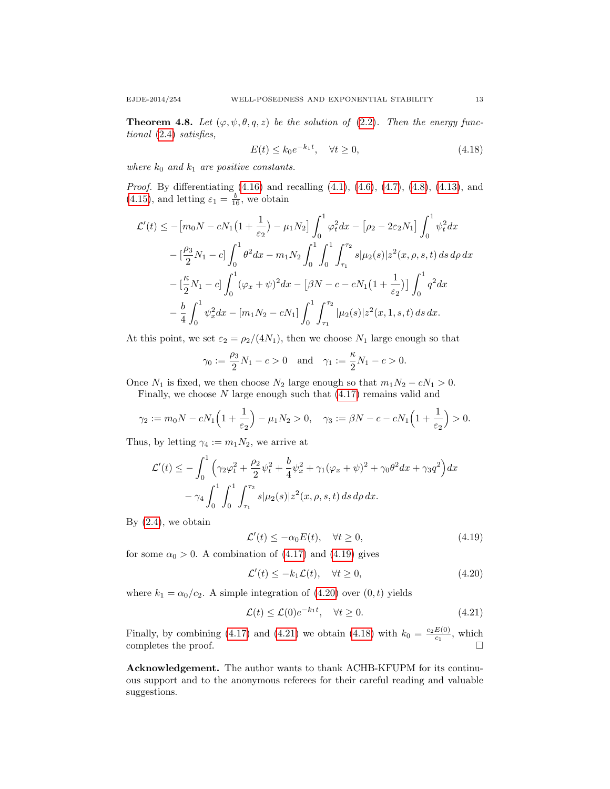**Theorem 4.8.** Let  $(\varphi, \psi, \theta, q, z)$  be the solution of [\(2.2\)](#page-3-0). Then the energy functional [\(2.4\)](#page-3-3) satisfies,

<span id="page-12-3"></span>
$$
E(t) \le k_0 e^{-k_1 t}, \quad \forall t \ge 0,
$$
\n
$$
(4.18)
$$

where  $k_0$  and  $k_1$  are positive constants.

Proof. By differentiating [\(4.16\)](#page-11-1) and recalling [\(4.1\)](#page-8-4), [\(4.6\)](#page-9-0), [\(4.7\)](#page-9-1), [\(4.8\)](#page-9-3), [\(4.13\)](#page-10-2), and [\(4.15\)](#page-10-3), and letting  $\varepsilon_1 = \frac{b}{16}$ , we obtain

$$
\mathcal{L}'(t) \le -\left[m_0 N - cN_1 \left(1 + \frac{1}{\varepsilon_2}\right) - \mu_1 N_2\right] \int_0^1 \varphi_t^2 dx - \left[\rho_2 - 2\varepsilon_2 N_1\right] \int_0^1 \psi_t^2 dx
$$
  

$$
- \left[\frac{\rho_3}{2} N_1 - c\right] \int_0^1 \theta^2 dx - m_1 N_2 \int_0^1 \int_0^1 \int_{\tau_1}^{\tau_2} s |\mu_2(s)| z^2(x, \rho, s, t) ds d\rho dx
$$
  

$$
- \left[\frac{\kappa}{2} N_1 - c\right] \int_0^1 (\varphi_x + \psi)^2 dx - \left[\beta N - c - cN_1 \left(1 + \frac{1}{\varepsilon_2}\right)\right] \int_0^1 q^2 dx
$$
  

$$
- \frac{b}{4} \int_0^1 \psi_x^2 dx - \left[m_1 N_2 - cN_1\right] \int_0^1 \int_{\tau_1}^{\tau_2} |\mu_2(s)| z^2(x, 1, s, t) ds dx.
$$

At this point, we set  $\varepsilon_2 = \rho_2/(4N_1)$ , then we choose  $N_1$  large enough so that

$$
\gamma_0 := \frac{\rho_3}{2} N_1 - c > 0
$$
 and  $\gamma_1 := \frac{\kappa}{2} N_1 - c > 0$ .

Once  $N_1$  is fixed, we then choose  $N_2$  large enough so that  $m_1N_2 - cN_1 > 0$ .

Finally, we choose  $N$  large enough such that  $(4.17)$  remains valid and

$$
\gamma_2 := m_0 N - c N_1 \left( 1 + \frac{1}{\varepsilon_2} \right) - \mu_1 N_2 > 0, \quad \gamma_3 := \beta N - c - c N_1 \left( 1 + \frac{1}{\varepsilon_2} \right) > 0.
$$

Thus, by letting  $\gamma_4 := m_1 N_2$ , we arrive at

$$
\mathcal{L}'(t) \leq -\int_0^1 \left( \gamma_2 \varphi_t^2 + \frac{\rho_2}{2} \psi_t^2 + \frac{b}{4} \psi_x^2 + \gamma_1 (\varphi_x + \psi)^2 + \gamma_0 \theta^2 dx + \gamma_3 q^2 \right) dx
$$

$$
- \gamma_4 \int_0^1 \int_0^1 \int_{\tau_1}^{\tau_2} s |\mu_2(s)| z^2(x, \rho, s, t) ds d\rho dx.
$$

By  $(2.4)$ , we obtain

<span id="page-12-0"></span>
$$
\mathcal{L}'(t) \le -\alpha_0 E(t), \quad \forall t \ge 0,
$$
\n(4.19)

for some  $\alpha_0 > 0$ . A combination of [\(4.17\)](#page-11-0) and [\(4.19\)](#page-12-0) gives

<span id="page-12-1"></span>
$$
\mathcal{L}'(t) \le -k_1 \mathcal{L}(t), \quad \forall t \ge 0,
$$
\n(4.20)

where  $k_1 = \alpha_0/c_2$ . A simple integration of [\(4.20\)](#page-12-1) over  $(0, t)$  yields

<span id="page-12-2"></span>
$$
\mathcal{L}(t) \le \mathcal{L}(0)e^{-k_1 t}, \quad \forall t \ge 0.
$$
\n(4.21)

Finally, by combining [\(4.17\)](#page-11-0) and [\(4.21\)](#page-12-2) we obtain [\(4.18\)](#page-12-3) with  $k_0 = \frac{c_2 E(0)}{c_1}$  $rac{E(0)}{c_1}$ , which completes the proof.  $\Box$ 

Acknowledgement. The author wants to thank ACHB-KFUPM for its continuous support and to the anonymous referees for their careful reading and valuable suggestions.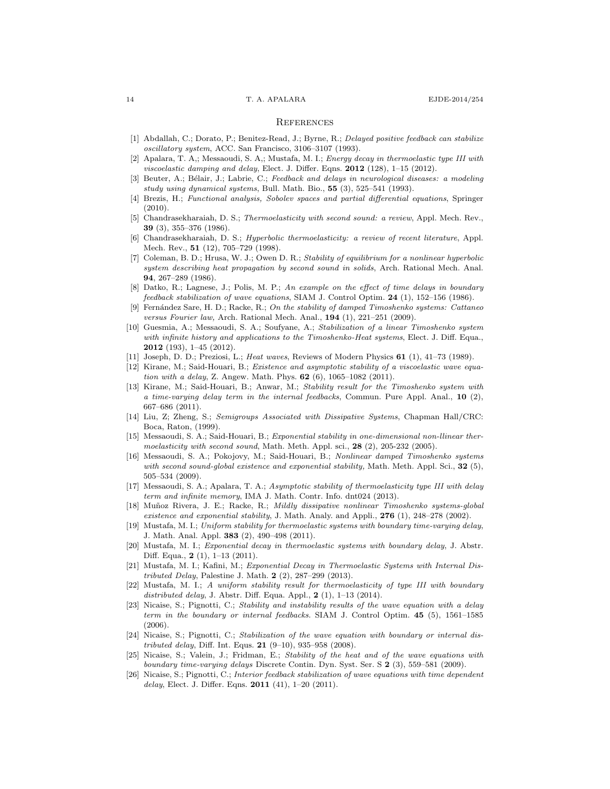#### **REFERENCES**

- <span id="page-13-6"></span>[1] Abdallah, C.; Dorato, P.; Benitez-Read, J.; Byrne, R.; Delayed positive feedback can stabilize oscillatory system, ACC. San Francisco, 3106–3107 (1993).
- <span id="page-13-11"></span>[2] Apalara, T. A,; Messaoudi, S. A,; Mustafa, M. I.; Energy decay in thermoelastic type III with viscoelastic damping and delay, Elect. J. Differ. Eqns.  $2012$  (128), 1–15 (2012).
- <span id="page-13-5"></span>[3] Beuter, A.; Bélair, J.; Labrie, C.; Feedback and delays in neurological diseases: a modeling study using dynamical systems, Bull. Math. Bio.,  $55$   $(3)$ ,  $525-541$  (1993).
- [4] Brezis, H.; Functional analysis, Sobolev spaces and partial differential equations, Springer (2010).
- <span id="page-13-0"></span>[5] Chandrasekharaiah, D. S.; Thermoelasticity with second sound: a review, Appl. Mech. Rev., 39 (3), 355–376 (1986).
- <span id="page-13-1"></span>[6] Chandrasekharaiah, D. S.; Hyperbolic thermoelasticity: a review of recent literature, Appl. Mech. Rev., **51** (12), 705-729 (1998).
- <span id="page-13-2"></span>[7] Coleman, B. D.; Hrusa, W. J.; Owen D. R.; Stability of equilibrium for a nonlinear hyperbolic system describing heat propagation by second sound in solids, Arch. Rational Mech. Anal. 94, 267–289 (1986).
- <span id="page-13-7"></span>[8] Datko, R.; Lagnese, J.; Polis, M. P.; An example on the effect of time delays in boundary feedback stabilization of wave equations, SIAM J. Control Optim. 24 (1), 152–156 (1986).
- <span id="page-13-21"></span>[9] Fernández Sare, H. D.; Racke, R.; On the stability of damped Timoshenko systems: Cattaneo versus Fourier law, Arch. Rational Mech. Anal., 194 (1), 221–251 (2009).
- <span id="page-13-22"></span>[10] Guesmia, A.; Messaoudi, S. A.; Soufyane, A.; Stabilization of a linear Timoshenko system with infinite history and applications to the Timoshenko-Heat systems, Elect. J. Diff. Equa., 2012 (193), 1–45 (2012).
- <span id="page-13-3"></span>Joseph, D. D.; Preziosi, L.; Heat waves, Reviews of Modern Physics 61 (1), 41-73 (1989).
- <span id="page-13-12"></span>[12] Kirane, M.; Said-Houari, B.; Existence and asymptotic stability of a viscoelastic wave equation with a delay, Z. Angew. Math. Phys. 62 (6), 1065–1082 (2011).
- <span id="page-13-13"></span>[13] Kirane, M.; Said-Houari, B.; Anwar, M.; Stability result for the Timoshenko system with a time-varying delay term in the internal feedbacks, Commun. Pure Appl. Anal.,  $10$  (2), 667–686 (2011).
- <span id="page-13-24"></span>[14] Liu, Z; Zheng, S.; Semigroups Associated with Dissipative Systems, Chapman Hall/CRC: Boca, Raton, (1999).
- <span id="page-13-4"></span>[15] Messaoudi, S. A.; Said-Houari, B.; Exponential stability in one-dimensional non-llinear thermoelasticity with second sound, Math. Meth. Appl. sci.,  $28$  (2), 205-232 (2005).
- <span id="page-13-20"></span>[16] Messaoudi, S. A.; Pokojovy, M.; Said-Houari, B.; Nonlinear damped Timoshenko systems with second sound-global existence and exponential stability, Math. Meth. Appl. Sci.,  $32$  (5), 505–534 (2009).
- <span id="page-13-14"></span>[17] Messaoudi, S. A.; Apalara, T. A.; Asymptotic stability of thermoelasticity type III with delay term and infinite memory, IMA J. Math. Contr. Info. dnt024 (2013).
- <span id="page-13-23"></span>[18] Muñoz Rivera, J. E.; Racke, R.; Mildly dissipative nonlinear Timoshenko systems-global existence and exponential stability, J. Math. Analy. and Appli.,  $276$  (1),  $248-278$  (2002).
- <span id="page-13-15"></span>[19] Mustafa, M. I.; Uniform stability for thermoelastic systems with boundary time-varying delay, J. Math. Anal. Appl. 383 (2), 490–498 (2011).
- <span id="page-13-16"></span>[20] Mustafa, M. I.; Exponential decay in thermoelastic systems with boundary delay, J. Abstr. Diff. Equa., 2 (1), 1–13 (2011).
- <span id="page-13-9"></span>[21] Mustafa, M. I.; Kafini, M.; Exponential Decay in Thermoelastic Systems with Internal Distributed Delay, Palestine J. Math. 2 (2), 287–299 (2013).
- <span id="page-13-10"></span>[22] Mustafa, M. I.; A uniform stability result for thermoelasticity of type III with boundary distributed delay, J. Abstr. Diff. Equa. Appl.,  $2(1)$ ,  $1-13(2014)$ .
- <span id="page-13-17"></span>[23] Nicaise, S.; Pignotti, C.; Stability and instability results of the wave equation with a delay term in the boundary or internal feedbacks. SIAM J. Control Optim. 45 (5), 1561–1585 (2006).
- <span id="page-13-8"></span>[24] Nicaise, S.; Pignotti, C.; Stabilization of the wave equation with boundary or internal distributed delay, Diff. Int. Equs. 21 (9–10), 935–958 (2008).
- <span id="page-13-18"></span>[25] Nicaise, S.; Valein, J.; Fridman, E.; Stability of the heat and of the wave equations with boundary time-varying delays Discrete Contin. Dyn. Syst. Ser. S 2 (3), 559–581 (2009).
- <span id="page-13-19"></span>[26] Nicaise, S.; Pignotti, C.; Interior feedback stabilization of wave equations with time dependent delay, Elect. J. Differ. Eqns. **2011** (41), 1-20 (2011).